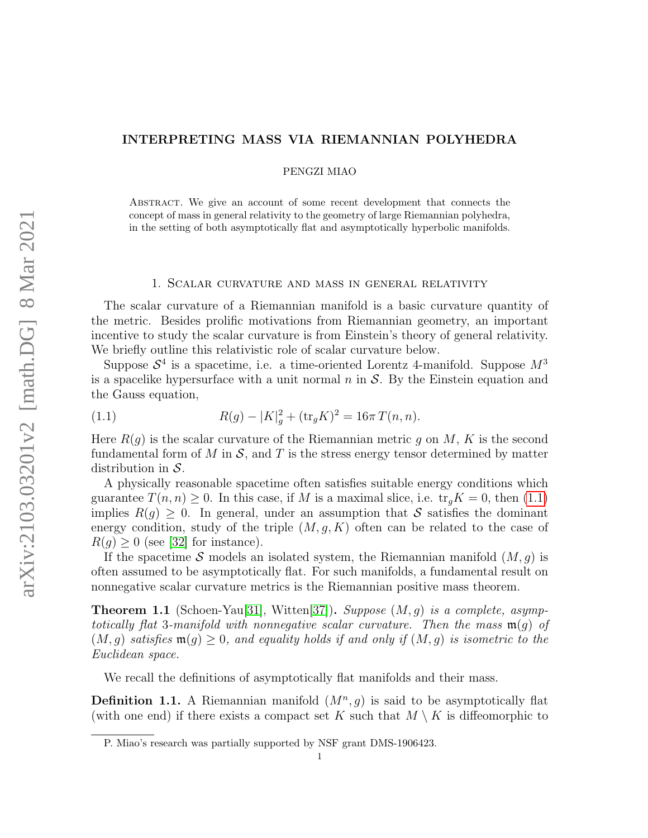# INTERPRETING MASS VIA RIEMANNIAN POLYHEDRA

PENGZI MIAO

Abstract. We give an account of some recent development that connects the concept of mass in general relativity to the geometry of large Riemannian polyhedra, in the setting of both asymptotically flat and asymptotically hyperbolic manifolds.

#### 1. Scalar curvature and mass in general relativity

The scalar curvature of a Riemannian manifold is a basic curvature quantity of the metric. Besides prolific motivations from Riemannian geometry, an important incentive to study the scalar curvature is from Einstein's theory of general relativity. We briefly outline this relativistic role of scalar curvature below.

Suppose  $S<sup>4</sup>$  is a spacetime, i.e. a time-oriented Lorentz 4-manifold. Suppose  $M<sup>3</sup>$ is a spacelike hypersurface with a unit normal  $n$  in  $S$ . By the Einstein equation and the Gauss equation,

<span id="page-0-0"></span>(1.1) 
$$
R(g) - |K|_g^2 + (\text{tr}_g K)^2 = 16\pi T(n, n).
$$

Here  $R(q)$  is the scalar curvature of the Riemannian metric q on M, K is the second fundamental form of M in  $S$ , and T is the stress energy tensor determined by matter distribution in  $S$ .

A physically reasonable spacetime often satisfies suitable energy conditions which guarantee  $T(n, n) \geq 0$ . In this case, if M is a maximal slice, i.e.  $\text{tr}_q K = 0$ , then [\(1.1\)](#page-0-0) implies  $R(q) > 0$ . In general, under an assumption that S satisfies the dominant energy condition, study of the triple  $(M, g, K)$  often can be related to the case of  $R(q) \geq 0$  (see [\[32\]](#page-13-0) for instance).

If the spacetime S models an isolated system, the Riemannian manifold  $(M, g)$  is often assumed to be asymptotically flat. For such manifolds, a fundamental result on nonnegative scalar curvature metrics is the Riemannian positive mass theorem.

<span id="page-0-1"></span>**Theorem 1.1** (Schoen-Yau[\[31\]](#page-13-1), Witten[\[37\]](#page-14-0)). Suppose  $(M, g)$  is a complete, asymptotically flat 3-manifold with nonnegative scalar curvature. Then the mass  $\mathfrak{m}(q)$  of  $(M, g)$  satisfies  $\mathfrak{m}(g) \geq 0$ , and equality holds if and only if  $(M, g)$  is isometric to the Euclidean space.

We recall the definitions of asymptotically flat manifolds and their mass.

**Definition 1.1.** A Riemannian manifold  $(M^n, g)$  is said to be asymptotically flat (with one end) if there exists a compact set K such that  $M \setminus K$  is diffeomorphic to

P. Miao's research was partially supported by NSF grant DMS-1906423.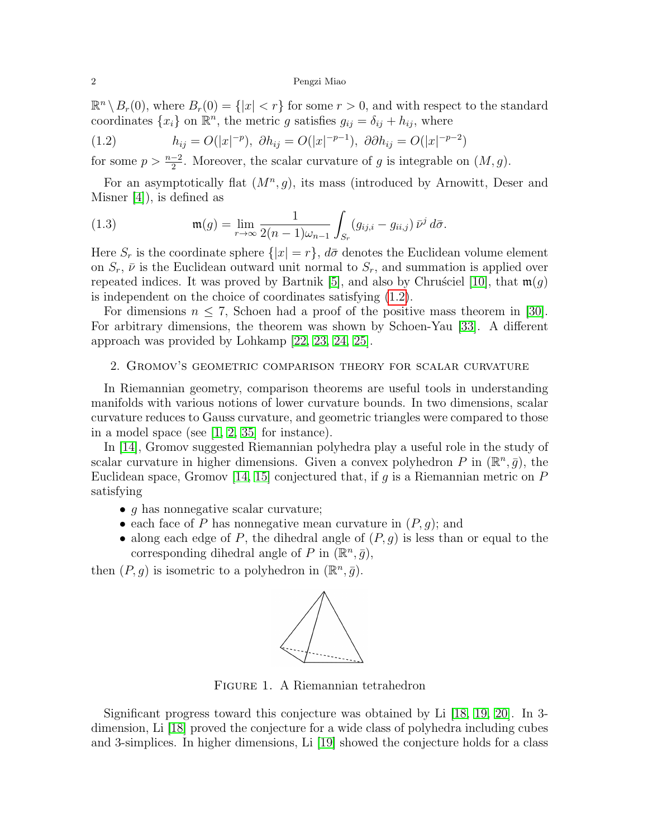$\mathbb{R}^n \setminus B_r(0)$ , where  $B_r(0) = \{|x| < r\}$  for some  $r > 0$ , and with respect to the standard coordinates  $\{x_i\}$  on  $\mathbb{R}^n$ , the metric g satisfies  $g_{ij} = \delta_{ij} + h_{ij}$ , where

<span id="page-1-0"></span>(1.2) 
$$
h_{ij} = O(|x|^{-p}), \ \partial h_{ij} = O(|x|^{-p-1}), \ \partial \partial h_{ij} = O(|x|^{-p-2})
$$

for some  $p > \frac{n-2}{2}$ . Moreover, the scalar curvature of g is integrable on  $(M, g)$ .

For an asymptotically flat  $(M^n, g)$ , its mass (introduced by Arnowitt, Deser and Misner [\[4\]](#page-12-0)), is defined as

(1.3) 
$$
\mathfrak{m}(g) = \lim_{r \to \infty} \frac{1}{2(n-1)\omega_{n-1}} \int_{S_r} (g_{ij,i} - g_{ii,j}) \, \bar{\nu}^j \, d\bar{\sigma}.
$$

Here  $S_r$  is the coordinate sphere  $\{|x|=r\}$ ,  $d\bar{\sigma}$  denotes the Euclidean volume element on  $S_r$ ,  $\bar{\nu}$  is the Euclidean outward unit normal to  $S_r$ , and summation is applied over repeated indices. It was proved by Bartnik [\[5\]](#page-12-1), and also by Chrusciel [\[10\]](#page-13-2), that  $\mathfrak{m}(g)$ is independent on the choice of coordinates satisfying [\(1.2\)](#page-1-0).

For dimensions  $n \leq 7$ , Schoen had a proof of the positive mass theorem in [\[30\]](#page-13-3). For arbitrary dimensions, the theorem was shown by Schoen-Yau [\[33\]](#page-13-4). A different approach was provided by Lohkamp [\[22,](#page-13-5) [23,](#page-13-6) [24,](#page-13-7) [25\]](#page-13-8).

## 2. Gromov's geometric comparison theory for scalar curvature

In Riemannian geometry, comparison theorems are useful tools in understanding manifolds with various notions of lower curvature bounds. In two dimensions, scalar curvature reduces to Gauss curvature, and geometric triangles were compared to those in a model space (see [\[1,](#page-12-2) [2,](#page-12-3) [35\]](#page-13-9) for instance).

In [\[14\]](#page-13-10), Gromov suggested Riemannian polyhedra play a useful role in the study of scalar curvature in higher dimensions. Given a convex polyhedron P in  $(\mathbb{R}^n, \bar{g})$ , the Euclidean space, Gromov [\[14,](#page-13-10) [15\]](#page-13-11) conjectured that, if  $g$  is a Riemannian metric on  $P$ satisfying

- $q$  has nonnegative scalar curvature;
- each face of P has nonnegative mean curvature in  $(P, g)$ ; and
- along each edge of P, the dihedral angle of  $(P, g)$  is less than or equal to the corresponding dihedral angle of P in  $(\mathbb{R}^n, \bar{g})$ ,

then  $(P, g)$  is isometric to a polyhedron in  $(\mathbb{R}^n, \bar{g})$ .



Figure 1. A Riemannian tetrahedron

Significant progress toward this conjecture was obtained by Li [\[18,](#page-13-12) [19,](#page-13-13) [20\]](#page-13-14). In 3 dimension, Li [\[18\]](#page-13-12) proved the conjecture for a wide class of polyhedra including cubes and 3-simplices. In higher dimensions, Li [\[19\]](#page-13-13) showed the conjecture holds for a class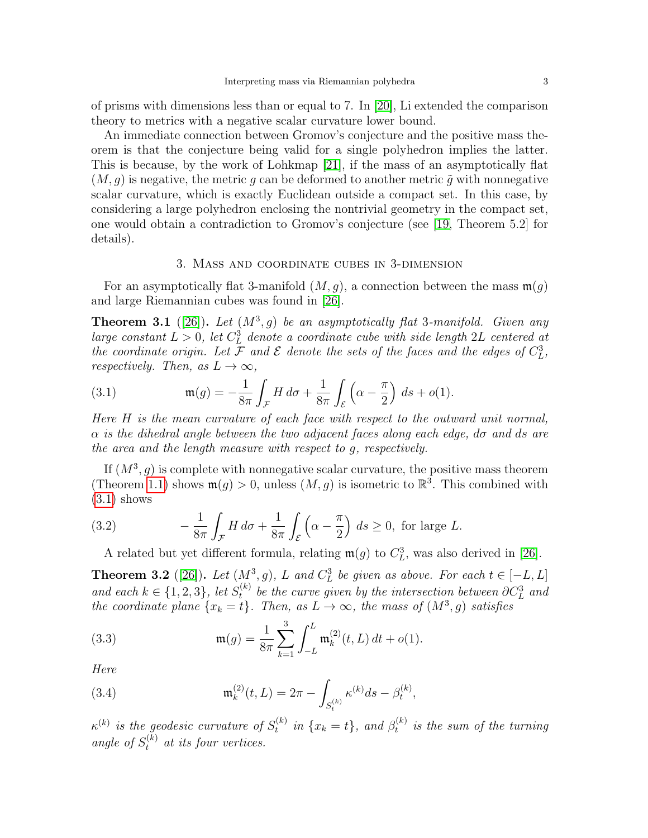of prisms with dimensions less than or equal to 7. In [\[20\]](#page-13-14), Li extended the comparison theory to metrics with a negative scalar curvature lower bound.

An immediate connection between Gromov's conjecture and the positive mass theorem is that the conjecture being valid for a single polyhedron implies the latter. This is because, by the work of Lohkmap [\[21\]](#page-13-15), if the mass of an asymptotically flat  $(M, g)$  is negative, the metric g can be deformed to another metric  $\tilde{g}$  with nonnegative scalar curvature, which is exactly Euclidean outside a compact set. In this case, by considering a large polyhedron enclosing the nontrivial geometry in the compact set, one would obtain a contradiction to Gromov's conjecture (see [\[19,](#page-13-13) Theorem 5.2] for details).

### 3. Mass and coordinate cubes in 3-dimension

For an asymptotically flat 3-manifold  $(M, g)$ , a connection between the mass  $\mathfrak{m}(q)$ and large Riemannian cubes was found in [\[26\]](#page-13-16).

<span id="page-2-2"></span>**Theorem 3.1** ([\[26\]](#page-13-16)). Let  $(M^3, g)$  be an asymptotically flat 3-manifold. Given any large constant  $L > 0$ , let  $C_L^3$  denote a coordinate cube with side length 2L centered at the coordinate origin. Let F and E denote the sets of the faces and the edges of  $C<sub>L</sub><sup>3</sup>$ , respectively. Then, as  $L \to \infty$ ,

<span id="page-2-0"></span>(3.1) 
$$
\mathfrak{m}(g) = -\frac{1}{8\pi} \int_{\mathcal{F}} H \, d\sigma + \frac{1}{8\pi} \int_{\mathcal{E}} \left( \alpha - \frac{\pi}{2} \right) \, ds + o(1).
$$

Here H is the mean curvature of each face with respect to the outward unit normal,  $\alpha$  is the dihedral angle between the two adjacent faces along each edge,  $d\sigma$  and  $ds$  are the area and the length measure with respect to g, respectively.

If  $(M^3, g)$  is complete with nonnegative scalar curvature, the positive mass theorem (Theorem [1.1\)](#page-0-1) shows  $\mathfrak{m}(g) > 0$ , unless  $(M, g)$  is isometric to  $\mathbb{R}^3$ . This combined with  $(3.1)$  shows

(3.2) 
$$
-\frac{1}{8\pi} \int_{\mathcal{F}} H d\sigma + \frac{1}{8\pi} \int_{\mathcal{E}} \left( \alpha - \frac{\pi}{2} \right) ds \ge 0, \text{ for large } L.
$$

<span id="page-2-3"></span>A related but yet different formula, relating  $\mathfrak{m}(g)$  to  $C_L^3$ , was also derived in [\[26\]](#page-13-16).

<span id="page-2-4"></span>**Theorem 3.2** ([\[26\]](#page-13-16)). Let  $(M^3, g)$ , L and  $C^3_L$  be given as above. For each  $t \in [-L, L]$ and each  $k \in \{1, 2, 3\}$ , let  $S_t^{(k)}$  $t_t^{(k)}$  be the curve given by the intersection between  $\partial C_L^3$  and the coordinate plane  $\{x_k = t\}$ . Then, as  $L \to \infty$ , the mass of  $(M^3, g)$  satisfies

<span id="page-2-1"></span>(3.3) 
$$
\mathfrak{m}(g) = \frac{1}{8\pi} \sum_{k=1}^{3} \int_{-L}^{L} \mathfrak{m}_{k}^{(2)}(t, L) dt + o(1).
$$

Here

(3.4) 
$$
\mathfrak{m}_k^{(2)}(t,L) = 2\pi - \int_{S_t^{(k)}} \kappa^{(k)} ds - \beta_t^{(k)},
$$

 $\kappa^{(k)}$  is the geodesic curvature of  $S_t^{(k)}$  $t_t^{(k)}$  in  $\{x_k = t\}$ , and  $\beta_t^{(k)}$  $t_t^{(k)}$  is the sum of the turning angle of  $S_t^{(k)}$  at its four vertices.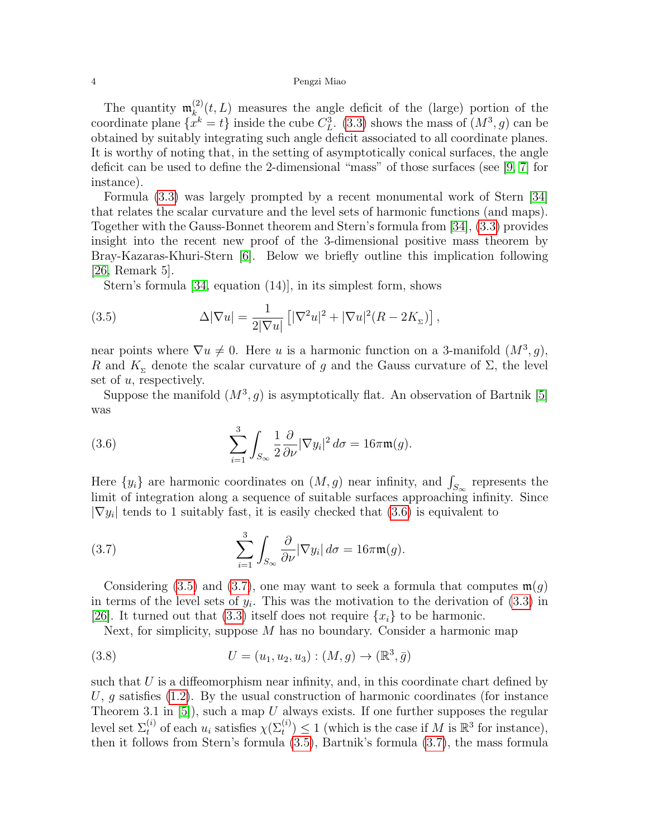The quantity  $\mathfrak{m}_k^{(2)}$  $_{k}^{(2)}(t,L)$  measures the angle deficit of the (large) portion of the coordinate plane  $\{x^k = t\}$  inside the cube  $C_L^3$ . [\(3.3\)](#page-2-1) shows the mass of  $(M^3, g)$  can be obtained by suitably integrating such angle deficit associated to all coordinate planes. It is worthy of noting that, in the setting of asymptotically conical surfaces, the angle deficit can be used to define the 2-dimensional "mass" of those surfaces (see [\[9,](#page-13-17) [7\]](#page-12-4) for instance).

Formula [\(3.3\)](#page-2-1) was largely prompted by a recent monumental work of Stern [\[34\]](#page-13-18) that relates the scalar curvature and the level sets of harmonic functions (and maps). Together with the Gauss-Bonnet theorem and Stern's formula from [\[34\]](#page-13-18), [\(3.3\)](#page-2-1) provides insight into the recent new proof of the 3-dimensional positive mass theorem by Bray-Kazaras-Khuri-Stern [\[6\]](#page-12-5). Below we briefly outline this implication following [\[26,](#page-13-16) Remark 5].

<span id="page-3-1"></span>Stern's formula [\[34,](#page-13-18) equation (14)], in its simplest form, shows

(3.5) 
$$
\Delta |\nabla u| = \frac{1}{2|\nabla u|} \left[ |\nabla^2 u|^2 + |\nabla u|^2 (R - 2K_{\Sigma}) \right],
$$

near points where  $\nabla u \neq 0$ . Here u is a harmonic function on a 3-manifold  $(M^3, g)$ , R and  $K_{\Sigma}$  denote the scalar curvature of g and the Gauss curvature of  $\Sigma$ , the level set of u, respectively.

Suppose the manifold  $(M^3, g)$  is asymptotically flat. An observation of Bartnik [\[5\]](#page-12-1) was

<span id="page-3-0"></span>(3.6) 
$$
\sum_{i=1}^{3} \int_{S_{\infty}} \frac{1}{2} \frac{\partial}{\partial \nu} |\nabla y_{i}|^{2} d\sigma = 16 \pi \mathfrak{m}(g).
$$

Here  $\{y_i\}$  are harmonic coordinates on  $(M, g)$  near infinity, and  $\int_{S_{\infty}}$  represents the limit of integration along a sequence of suitable surfaces approaching infinity. Since  $|\nabla y_i|$  tends to 1 suitably fast, it is easily checked that [\(3.6\)](#page-3-0) is equivalent to

<span id="page-3-2"></span>(3.7) 
$$
\sum_{i=1}^{3} \int_{S_{\infty}} \frac{\partial}{\partial \nu} |\nabla y_i| d\sigma = 16\pi \mathfrak{m}(g).
$$

Considering [\(3.5\)](#page-3-1) and [\(3.7\)](#page-3-2), one may want to seek a formula that computes  $\mathfrak{m}(q)$ in terms of the level sets of  $y_i$ . This was the motivation to the derivation of  $(3.3)$  in [\[26\]](#page-13-16). It turned out that [\(3.3\)](#page-2-1) itself does not require  $\{x_i\}$  to be harmonic.

Next, for simplicity, suppose  $M$  has no boundary. Consider a harmonic map

(3.8) 
$$
U = (u_1, u_2, u_3) : (M, g) \to (\mathbb{R}^3, \bar{g})
$$

such that  $U$  is a diffeomorphism near infinity, and, in this coordinate chart defined by U, g satisfies  $(1.2)$ . By the usual construction of harmonic coordinates (for instance Theorem 3.1 in  $[5]$ , such a map U always exists. If one further supposes the regular level set  $\Sigma_t^{(i)}$  of each  $u_i$  satisfies  $\chi(\Sigma_t^{(i)}) \leq 1$  (which is the case if M is  $\mathbb{R}^3$  for instance), then it follows from Stern's formula [\(3.5\)](#page-3-1), Bartnik's formula [\(3.7\)](#page-3-2), the mass formula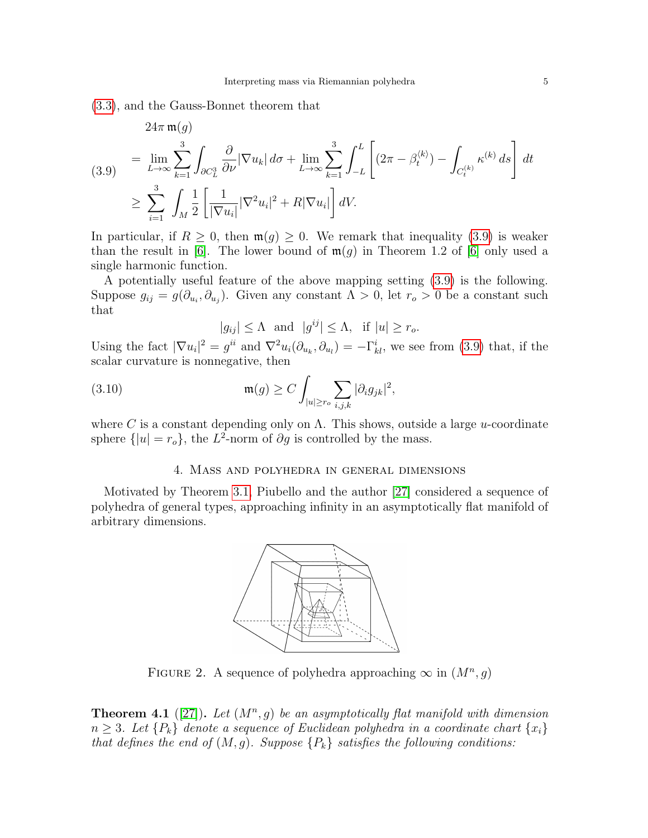[\(3.3\)](#page-2-1), and the Gauss-Bonnet theorem that

<span id="page-4-0"></span>
$$
24\pi \mathfrak{m}(g)
$$
\n
$$
= \lim_{L \to \infty} \sum_{k=1}^{3} \int_{\partial C_{L}^{3}} \frac{\partial}{\partial \nu} |\nabla u_{k}| d\sigma + \lim_{L \to \infty} \sum_{k=1}^{3} \int_{-L}^{L} \left[ (2\pi - \beta_{t}^{(k)}) - \int_{C_{t}^{(k)}} \kappa^{(k)} ds \right] dt
$$
\n
$$
\geq \sum_{i=1}^{3} \int_{M} \frac{1}{2} \left[ \frac{1}{|\nabla u_{i}|} |\nabla^{2} u_{i}|^{2} + R |\nabla u_{i}| \right] dV.
$$

In particular, if  $R \geq 0$ , then  $\mathfrak{m}(g) \geq 0$ . We remark that inequality [\(3.9\)](#page-4-0) is weaker than the result in [\[6\]](#page-12-5). The lower bound of  $\mathfrak{m}(q)$  in Theorem 1.2 of [6] only used a single harmonic function.

A potentially useful feature of the above mapping setting [\(3.9\)](#page-4-0) is the following. Suppose  $g_{ij} = g(\partial_{u_i}, \partial_{u_j})$ . Given any constant  $\Lambda > 0$ , let  $r_o > 0$  be a constant such that

$$
|g_{ij}| \le \Lambda \text{ and } |g^{ij}| \le \Lambda, \text{ if } |u| \ge r_o.
$$

Using the fact  $|\nabla u_i|^2 = g^{ii}$  and  $\nabla^2 u_i(\partial_{u_k}, \partial_{u_l}) = -\Gamma_{kl}^i$ , we see from [\(3.9\)](#page-4-0) that, if the scalar curvature is nonnegative, then

(3.10) 
$$
\mathfrak{m}(g) \geq C \int_{|u| \geq r_o} \sum_{i,j,k} |\partial_i g_{jk}|^2,
$$

where C is a constant depending only on  $\Lambda$ . This shows, outside a large u-coordinate sphere  $\{|u| = r_o\}$ , the  $L^2$ -norm of  $\partial g$  is controlled by the mass.

# 4. Mass and polyhedra in general dimensions

Motivated by Theorem [3.1,](#page-2-2) Piubello and the author [\[27\]](#page-13-19) considered a sequence of polyhedra of general types, approaching infinity in an asymptotically flat manifold of arbitrary dimensions.



FIGURE 2. A sequence of polyhedra approaching  $\infty$  in  $(M^n, g)$ 

<span id="page-4-1"></span>**Theorem 4.1** ([\[27\]](#page-13-19)). Let  $(M^n, g)$  be an asymptotically flat manifold with dimension  $n \geq 3$ . Let  $\{P_k\}$  denote a sequence of Euclidean polyhedra in a coordinate chart  $\{x_i\}$ that defines the end of  $(M, g)$ . Suppose  $\{P_k\}$  satisfies the following conditions: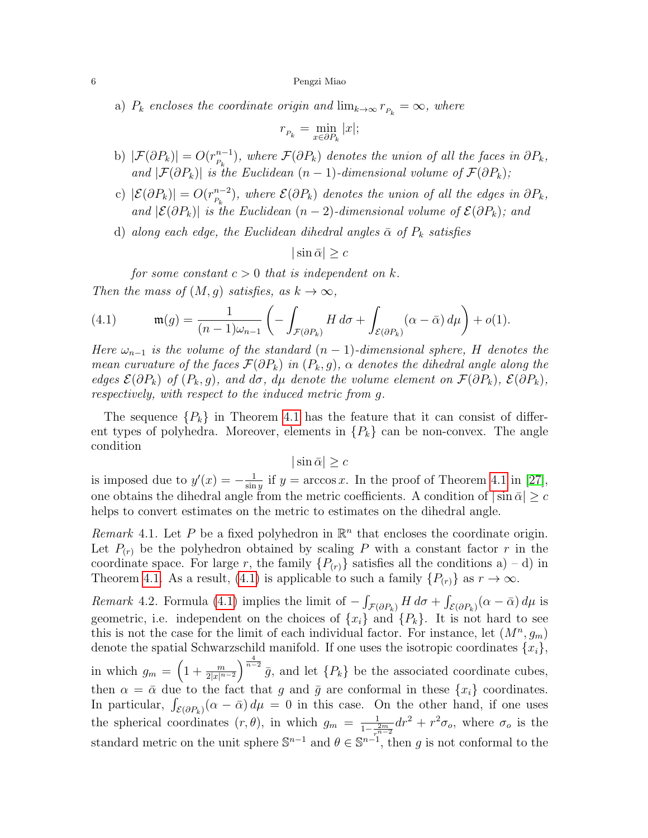a)  $P_k$  encloses the coordinate origin and  $\lim_{k\to\infty} r_{P_k} = \infty$ , where

$$
r_{P_k} = \min_{x \in \partial P_k} |x|;
$$

- b)  $|\mathcal{F}(\partial P_k)| = O(r_{P_n}^{n-1})$  $\binom{n-1}{P_k}$ , where  $\mathcal{F}(\partial P_k)$  denotes the union of all the faces in  $\partial P_k$ , and  $|\mathcal{F}(\partial P_k)|$  is the Euclidean  $(n-1)$ -dimensional volume of  $\mathcal{F}(\partial P_k)$ ;
- c)  $|\mathcal{E}(\partial P_k)| = O(r_{P_n}^{n-2})$  $\binom{n-2}{P_k}$ , where  $\mathcal{E}(\partial P_k)$  denotes the union of all the edges in  $\partial P_k$ , and  $|\mathcal{E}(\partial P_k)|$  is the Euclidean  $(n-2)$ -dimensional volume of  $\mathcal{E}(\partial P_k)$ ; and
- d) along each edge, the Euclidean dihedral angles  $\bar{\alpha}$  of  $P_k$  satisfies

 $|\sin \bar{\alpha}| > c$ 

for some constant  $c > 0$  that is independent on k. Then the mass of  $(M, g)$  satisfies, as  $k \to \infty$ ,

<span id="page-5-0"></span>(4.1) 
$$
\mathfrak{m}(g) = \frac{1}{(n-1)\omega_{n-1}} \left( - \int_{\mathcal{F}(\partial P_k)} H \, d\sigma + \int_{\mathcal{E}(\partial P_k)} (\alpha - \bar{\alpha}) \, d\mu \right) + o(1).
$$

Here  $\omega_{n-1}$  is the volume of the standard  $(n-1)$ -dimensional sphere, H denotes the mean curvature of the faces  $\mathcal{F}(\partial P_k)$  in  $(P_k, g)$ ,  $\alpha$  denotes the dihedral angle along the edges  $\mathcal{E}(\partial P_k)$  of  $(P_k, g)$ , and d $\sigma$ , d $\mu$  denote the volume element on  $\mathcal{F}(\partial P_k)$ ,  $\mathcal{E}(\partial P_k)$ , respectively, with respect to the induced metric from g.

The sequence  $\{P_k\}$  in Theorem [4.1](#page-4-1) has the feature that it can consist of different types of polyhedra. Moreover, elements in  $\{P_k\}$  can be non-convex. The angle condition

 $|\sin \bar{\alpha}| \geq c$ 

is imposed due to  $y'(x) = -\frac{1}{\sin x}$  $\frac{1}{\sin y}$  if  $y = \arccos x$ . In the proof of Theorem [4.1](#page-4-1) in [\[27\]](#page-13-19), one obtains the dihedral angle from the metric coefficients. A condition of  $|\sin \bar{\alpha}| \geq c$ helps to convert estimates on the metric to estimates on the dihedral angle.

Remark 4.1. Let P be a fixed polyhedron in  $\mathbb{R}^n$  that encloses the coordinate origin. Let  $P(r)$  be the polyhedron obtained by scaling P with a constant factor r in the coordinate space. For large r, the family  $\{P_{(r)}\}$  satisfies all the conditions a) – d) in Theorem [4.1.](#page-4-1) As a result, [\(4.1\)](#page-5-0) is applicable to such a family  $\{P_{(r)}\}$  as  $r \to \infty$ .

<span id="page-5-1"></span>Remark 4.2. Formula [\(4.1\)](#page-5-0) implies the limit of  $-\int_{\mathcal{F}(\partial P_k)} H d\sigma + \int_{\mathcal{E}(\partial P_k)} (\alpha - \bar{\alpha}) d\mu$  is geometric, i.e. independent on the choices of  $\{x_i\}$  and  $\{P_k\}$ . It is not hard to see this is not the case for the limit of each individual factor. For instance, let  $(M^n, g_m)$ denote the spatial Schwarzschild manifold. If one uses the isotropic coordinates  $\{x_i\}$ , in which  $g_m = \left(1 + \frac{m}{2|x|^{n-2}}\right)^{\frac{4}{n-2}}\bar{g}$ , and let  $\{P_k\}$  be the associated coordinate cubes, then  $\alpha = \bar{\alpha}$  due to the fact that g and  $\bar{g}$  are conformal in these  $\{x_i\}$  coordinates. In particular,  $\int_{\mathcal{E}(\partial P_k)} (\alpha - \bar{\alpha}) d\mu = 0$  in this case. On the other hand, if one uses the spherical coordinates  $(r, \theta)$ , in which  $g_m = \frac{1}{1 - \frac{2m}{r^{n-2}}} dr^2 + r^2 \sigma_o$ , where  $\sigma_o$  is the standard metric on the unit sphere  $\mathbb{S}^{n-1}$  and  $\theta \in \mathbb{S}^{n-1}$ , then g is not conformal to the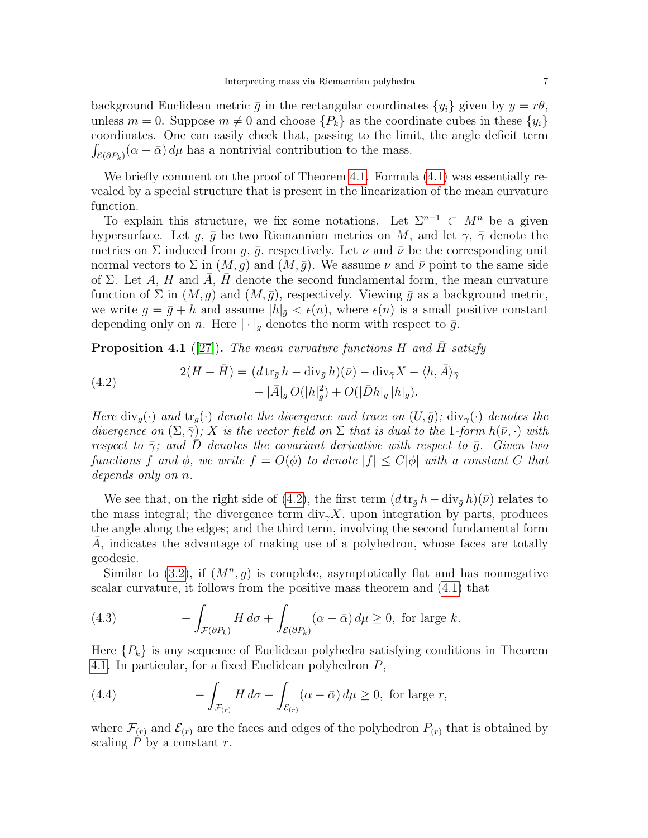background Euclidean metric  $\bar{g}$  in the rectangular coordinates  $\{y_i\}$  given by  $y = r\theta$ , unless  $m = 0$ . Suppose  $m \neq 0$  and choose  $\{P_k\}$  as the coordinate cubes in these  $\{y_i\}$ coordinates. One can easily check that, passing to the limit, the angle deficit term  $\int_{\mathcal{E}(\partial P_k)} (\alpha - \bar{\alpha}) d\mu$  has a nontrivial contribution to the mass.

We briefly comment on the proof of Theorem [4.1.](#page-4-1) Formula  $(4.1)$  was essentially revealed by a special structure that is present in the linearization of the mean curvature function.

To explain this structure, we fix some notations. Let  $\Sigma^{n-1} \subset M^n$  be a given hypersurface. Let g,  $\bar{g}$  be two Riemannian metrics on M, and let  $\gamma$ ,  $\bar{\gamma}$  denote the metrics on  $\Sigma$  induced from g,  $\bar{g}$ , respectively. Let  $\nu$  and  $\bar{\nu}$  be the corresponding unit normal vectors to  $\Sigma$  in  $(M, g)$  and  $(M, \bar{g})$ . We assume  $\nu$  and  $\bar{\nu}$  point to the same side of  $\Sigma$ . Let A, H and A, H denote the second fundamental form, the mean curvature function of  $\Sigma$  in  $(M, g)$  and  $(M, \bar{g})$ , respectively. Viewing  $\bar{g}$  as a background metric, we write  $g = \bar{g} + h$  and assume  $|h|_{\bar{g}} < \epsilon(n)$ , where  $\epsilon(n)$  is a small positive constant depending only on n. Here  $|\cdot|_{\bar{g}}$  denotes the norm with respect to  $\bar{g}$ .

<span id="page-6-1"></span>**Proposition 4.1** ([\[27\]](#page-13-19)). The mean curvature functions H and H satisfy

<span id="page-6-0"></span>(4.2) 
$$
2(H - \bar{H}) = (d \operatorname{tr}_{\bar{g}} h - \operatorname{div}_{\bar{g}} h)(\bar{\nu}) - \operatorname{div}_{\bar{\gamma}} X - \langle h, \bar{A} \rangle_{\bar{\gamma}} + |\bar{A}|_{\bar{g}} O(|h|_{\bar{g}}^2) + O(|\bar{D}h|_{\bar{g}} |h|_{\bar{g}}).
$$

Here  $\text{div}_{\bar{g}}(\cdot)$  and  $\text{tr}_{\bar{g}}(\cdot)$  denote the divergence and trace on  $(U,\bar{g})$ ;  $\text{div}_{\bar{g}}(\cdot)$  denotes the divergence on  $(\Sigma, \bar{\gamma})$ ; X is the vector field on  $\Sigma$  that is dual to the 1-form  $h(\bar{\nu}, \cdot)$  with respect to  $\bar{\gamma}$ ; and D denotes the covariant derivative with respect to  $\bar{g}$ . Given two functions f and  $\phi$ , we write  $f = O(\phi)$  to denote  $|f| \leq C |\phi|$  with a constant C that depends only on n.

We see that, on the right side of [\(4.2\)](#page-6-0), the first term  $(d tr_{\bar{q}} h - div_{\bar{q}} h)(\bar{\nu})$  relates to the mass integral; the divergence term  $\text{div}_{\bar{y}}X$ , upon integration by parts, produces the angle along the edges; and the third term, involving the second fundamental form A, indicates the advantage of making use of a polyhedron, whose faces are totally geodesic.

Similar to  $(3.2)$ , if  $(M^n, g)$  is complete, asymptotically flat and has nonnegative scalar curvature, it follows from the positive mass theorem and [\(4.1\)](#page-5-0) that

(4.3) 
$$
- \int_{\mathcal{F}(\partial P_k)} H \, d\sigma + \int_{\mathcal{E}(\partial P_k)} (\alpha - \bar{\alpha}) \, d\mu \ge 0, \text{ for large } k.
$$

Here  ${P_k}$  is any sequence of Euclidean polyhedra satisfying conditions in Theorem [4.1.](#page-4-1) In particular, for a fixed Euclidean polyhedron P,

(4.4) 
$$
- \int_{\mathcal{F}_{(r)}} H d\sigma + \int_{\mathcal{E}_{(r)}} (\alpha - \bar{\alpha}) d\mu \ge 0, \text{ for large } r,
$$

where  $\mathcal{F}_{(r)}$  and  $\mathcal{E}_{(r)}$  are the faces and edges of the polyhedron  $P_{(r)}$  that is obtained by scaling  $P$  by a constant  $r$ .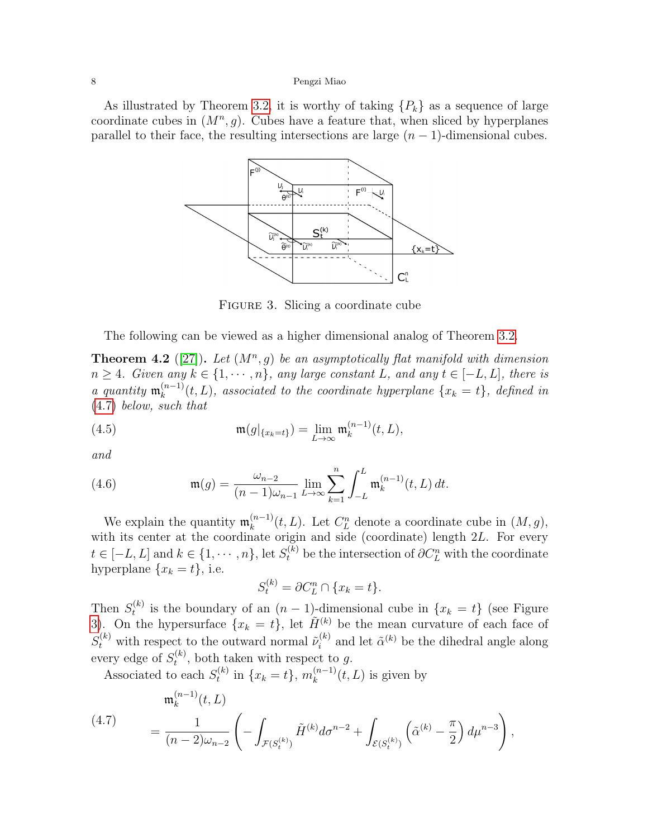<span id="page-7-1"></span>As illustrated by Theorem [3.2,](#page-2-4) it is worthy of taking  $\{P_k\}$  as a sequence of large coordinate cubes in  $(M^n, g)$ . Cubes have a feature that, when sliced by hyperplanes parallel to their face, the resulting intersections are large  $(n-1)$ -dimensional cubes.



FIGURE 3. Slicing a coordinate cube

The following can be viewed as a higher dimensional analog of Theorem [3.2.](#page-2-4)

<span id="page-7-2"></span>**Theorem 4.2** ([\[27\]](#page-13-19)). Let  $(M^n, g)$  be an asymptotically flat manifold with dimension  $n \geq 4$ . Given any  $k \in \{1, \dots, n\}$ , any large constant L, and any  $t \in [-L, L]$ , there is a quantity  $\mathfrak{m}_k^{(n-1)}$  $\binom{n-1}{k}(t,L)$ , associated to the coordinate hyperplane  $\{x_k = t\}$ , defined in [\(4.7\)](#page-7-0) below, such that

(4.5) 
$$
\mathfrak{m}(g|_{\{x_k=t\}}) = \lim_{L \to \infty} \mathfrak{m}_k^{(n-1)}(t, L),
$$

and

<span id="page-7-3"></span>(4.6) 
$$
\mathfrak{m}(g) = \frac{\omega_{n-2}}{(n-1)\omega_{n-1}} \lim_{L \to \infty} \sum_{k=1}^n \int_{-L}^{L} \mathfrak{m}_k^{(n-1)}(t, L) dt.
$$

We explain the quantity  $\mathfrak{m}_k^{(n-1)}$  $\binom{n-1}{k}(t, L)$ . Let  $C_L^n$  denote a coordinate cube in  $(M, g)$ , with its center at the coordinate origin and side (coordinate) length 2L. For every  $t \in [-L, L]$  and  $k \in \{1, \cdots, n\}$ , let  $S_t^{(k)}$  be the intersection of  $\partial C_L^n$  with the coordinate hyperplane  $\{x_k = t\}$ , i.e.

$$
S_t^{(k)} = \partial C_L^n \cap \{x_k = t\}.
$$

Then  $S_t^{(k)}$  $t_t^{(k)}$  is the boundary of an  $(n-1)$ -dimensional cube in  $\{x_k = t\}$  (see Figure [3\)](#page-7-1). On the hypersurface  $\{x_k = t\}$ , let  $\tilde{H}^{(k)}$  be the mean curvature of each face of  $S_t^{(k)}$  with respect to the outward normal  $\tilde{\nu}_i^{(k)}$  $\tilde{a}^{(k)}$  and let  $\tilde{\alpha}^{(k)}$  be the dihedral angle along every edge of  $S_t^{(k)}$  $t^{(k)}$ , both taken with respect to g.

Associated to each  $S_t^{(k)}$  $t_k^{(k)}$  in  $\{x_k = t\}, m_k^{(n-1)}$  $k^{(n-1)}(t,L)$  is given by

<span id="page-7-0"></span>(4.7) 
$$
\mathfrak{m}_k^{(n-1)}(t,L) = \frac{1}{(n-2)\omega_{n-2}} \left( - \int_{\mathcal{F}(S_t^{(k)})} \tilde{H}^{(k)} d\sigma^{n-2} + \int_{\mathcal{E}(S_t^{(k)})} \left( \tilde{\alpha}^{(k)} - \frac{\pi}{2} \right) d\mu^{n-3} \right),
$$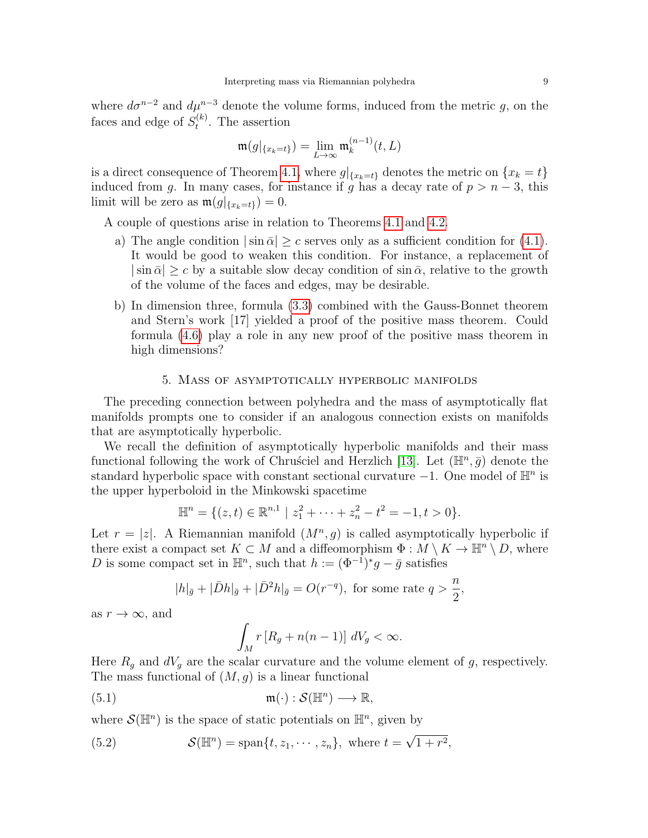where  $d\sigma^{n-2}$  and  $d\mu^{n-3}$  denote the volume forms, induced from the metric g, on the faces and edge of  $S_t^{(k)}$  $t^{(\kappa)}$ . The assertion

$$
\mathfrak{m}(g|_{\{x_k=t\}})=\lim_{L\to\infty}\mathfrak{m}_k^{(n-1)}(t,L)
$$

is a direct consequence of Theorem [4.1,](#page-4-1) where  $g|_{\{x_k=t\}}$  denotes the metric on  $\{x_k=t\}$ induced from g. In many cases, for instance if g has a decay rate of  $p > n - 3$ , this limit will be zero as  $\mathfrak{m}(g|_{\{x_k=t\}})=0$ .

A couple of questions arise in relation to Theorems [4.1](#page-4-1) and [4.2.](#page-7-2)

- a) The angle condition  $|\sin \bar{\alpha}| > c$  serves only as a sufficient condition for [\(4.1\)](#page-5-0). It would be good to weaken this condition. For instance, a replacement of  $|\sin \bar{\alpha}| > c$  by a suitable slow decay condition of  $\sin \bar{\alpha}$ , relative to the growth of the volume of the faces and edges, may be desirable.
- b) In dimension three, formula [\(3.3\)](#page-2-1) combined with the Gauss-Bonnet theorem and Stern's work [17] yielded a proof of the positive mass theorem. Could formula [\(4.6\)](#page-7-3) play a role in any new proof of the positive mass theorem in high dimensions?

## 5. Mass of asymptotically hyperbolic manifolds

The preceding connection between polyhedra and the mass of asymptotically flat manifolds prompts one to consider if an analogous connection exists on manifolds that are asymptotically hyperbolic.

We recall the definition of asymptotically hyperbolic manifolds and their mass functional following the work of Chrusciel and Herzlich [\[13\]](#page-13-20). Let  $(\mathbb{H}^n, \bar{g})$  denote the standard hyperbolic space with constant sectional curvature  $-1$ . One model of  $\mathbb{H}^n$  is the upper hyperboloid in the Minkowski spacetime

$$
\mathbb{H}^n = \{ (z, t) \in \mathbb{R}^{n,1} \mid z_1^2 + \cdots + z_n^2 - t^2 = -1, t > 0 \}.
$$

Let  $r = |z|$ . A Riemannian manifold  $(M^n, g)$  is called asymptotically hyperbolic if there exist a compact set  $K \subset M$  and a diffeomorphism  $\Phi : M \setminus K \to \mathbb{H}^n \setminus D$ , where D is some compact set in  $\mathbb{H}^n$ , such that  $h := (\Phi^{-1})^* g - \bar{g}$  satisfies

$$
|h|_{\bar{g}} + |\bar{D}h|_{\bar{g}} + |\bar{D}^2 h|_{\bar{g}} = O(r^{-q}),
$$
 for some rate  $q > \frac{n}{2}$ ,

as  $r \to \infty$ , and

$$
\int_M r [R_g + n(n-1)] dV_g < \infty.
$$

Here  $R_g$  and  $dV_g$  are the scalar curvature and the volume element of g, respectively. The mass functional of  $(M, g)$  is a linear functional

(5.1) 
$$
\mathfrak{m}(\cdot): \mathcal{S}(\mathbb{H}^n) \longrightarrow \mathbb{R},
$$

where  $\mathcal{S}(\mathbb{H}^n)$  is the space of static potentials on  $\mathbb{H}^n$ , given by

(5.2) 
$$
\mathcal{S}(\mathbb{H}^n) = \text{span}\{t, z_1, \cdots, z_n\}, \text{ where } t = \sqrt{1 + r^2},
$$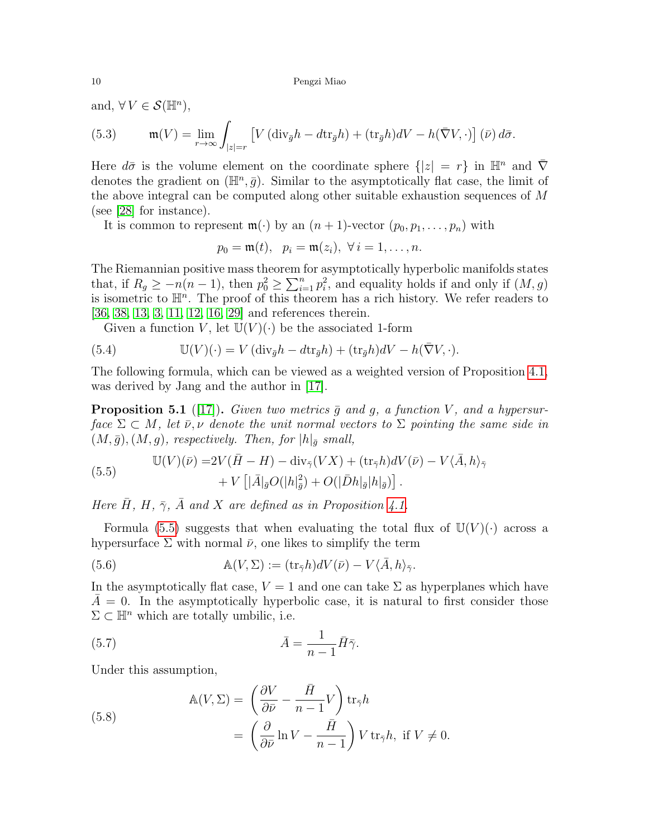and,  $\forall V \in \mathcal{S}(\mathbb{H}^n)$ ,

(5.3) 
$$
\mathfrak{m}(V) = \lim_{r \to \infty} \int_{|z|=r} \left[ V (\text{div}_{\bar{g}} h - d\text{tr}_{\bar{g}} h) + (\text{tr}_{\bar{g}} h) dV - h(\bar{\nabla} V, \cdot) \right] (\bar{\nu}) d\bar{\sigma}.
$$

Here  $d\bar{\sigma}$  is the volume element on the coordinate sphere  $\{|z|=r\}$  in  $\mathbb{H}^n$  and  $\bar{\nabla}$ denotes the gradient on  $(\mathbb{H}^n, \bar{g})$ . Similar to the asymptotically flat case, the limit of the above integral can be computed along other suitable exhaustion sequences of M (see [\[28\]](#page-13-21) for instance).

It is common to represent  $\mathfrak{m}(\cdot)$  by an  $(n+1)$ -vector  $(p_0, p_1, \ldots, p_n)$  with

$$
p_0 = \mathfrak{m}(t), \ \ p_i = \mathfrak{m}(z_i), \ \forall \ i = 1, \ldots, n.
$$

The Riemannian positive mass theorem for asymptotically hyperbolic manifolds states that, if  $R_g \ge -n(n-1)$ , then  $p_0^2 \ge \sum_{i=1}^n p_i^2$ , and equality holds if and only if  $(M, g)$ is isometric to  $\mathbb{H}^n$ . The proof of this theorem has a rich history. We refer readers to [\[36,](#page-13-22) [38,](#page-14-1) [13,](#page-13-20) [3,](#page-12-6) [11,](#page-13-23) [12,](#page-13-24) [16,](#page-13-25) [29\]](#page-13-26) and references therein.

Given a function V, let  $\mathbb{U}(V)(\cdot)$  be the associated 1-form

(5.4) 
$$
\mathbb{U}(V)(\cdot) = V(\text{div}_{\bar{g}}h - d\text{tr}_{\bar{g}}h) + (\text{tr}_{\bar{g}}h)dV - h(\bar{\nabla}V, \cdot).
$$

The following formula, which can be viewed as a weighted version of Proposition [4.1,](#page-6-1) was derived by Jang and the author in [\[17\]](#page-13-27).

**Proposition 5.1** ([\[17\]](#page-13-27)). Given two metrics  $\bar{g}$  and g, a function V, and a hypersurface  $\Sigma \subset M$ , let  $\overline{\nu}, \nu$  denote the unit normal vectors to  $\Sigma$  pointing the same side in  $(M, \bar{g}), (M, g)$ , respectively. Then, for  $|h|_{\bar{g}}$  small,

<span id="page-9-0"></span>(5.5) 
$$
\mathbb{U}(V)(\bar{\nu}) = 2V(\bar{H} - H) - \text{div}_{\bar{\gamma}}(V\bar{X}) + (\text{tr}_{\bar{\gamma}}h)dV(\bar{\nu}) - V\langle\bar{A},h\rangle_{\bar{\gamma}} + V\left[|\bar{A}|\bar{g}O(|h|^2_{\bar{g}}) + O(|\bar{D}h|_{\bar{g}}|h|_{\bar{g}})\right].
$$

Here  $\bar{H}$ ,  $H$ ,  $\bar{\gamma}$ ,  $\bar{A}$  and X are defined as in Proposition [4.1.](#page-6-1)

Formula [\(5.5\)](#page-9-0) suggests that when evaluating the total flux of  $\mathbb{U}(V)(\cdot)$  across a hypersurface  $\Sigma$  with normal  $\bar{\nu}$ , one likes to simplify the term

(5.6) 
$$
\mathbb{A}(V, \Sigma) := (\text{tr}_{\bar{\gamma}} h) dV(\bar{\nu}) - V\langle \bar{A}, h \rangle_{\bar{\gamma}}.
$$

In the asymptotically flat case,  $V = 1$  and one can take  $\Sigma$  as hyperplanes which have  $\overline{A} = 0$ . In the asymptotically hyperbolic case, it is natural to first consider those  $\Sigma \subset \mathbb{H}^n$  which are totally umbilic, i.e.

<span id="page-9-1"></span>(5.7) 
$$
\bar{A} = \frac{1}{n-1} \bar{H} \bar{\gamma}.
$$

Under this assumption,

<span id="page-9-2"></span>(5.8)  
\n
$$
\mathbb{A}(V, \Sigma) = \left(\frac{\partial V}{\partial \bar{\nu}} - \frac{\bar{H}}{n-1}V\right) \text{tr}_{\bar{\gamma}} h
$$
\n
$$
= \left(\frac{\partial}{\partial \bar{\nu}} \ln V - \frac{\bar{H}}{n-1}\right) V \text{tr}_{\bar{\gamma}} h, \text{ if } V \neq 0.
$$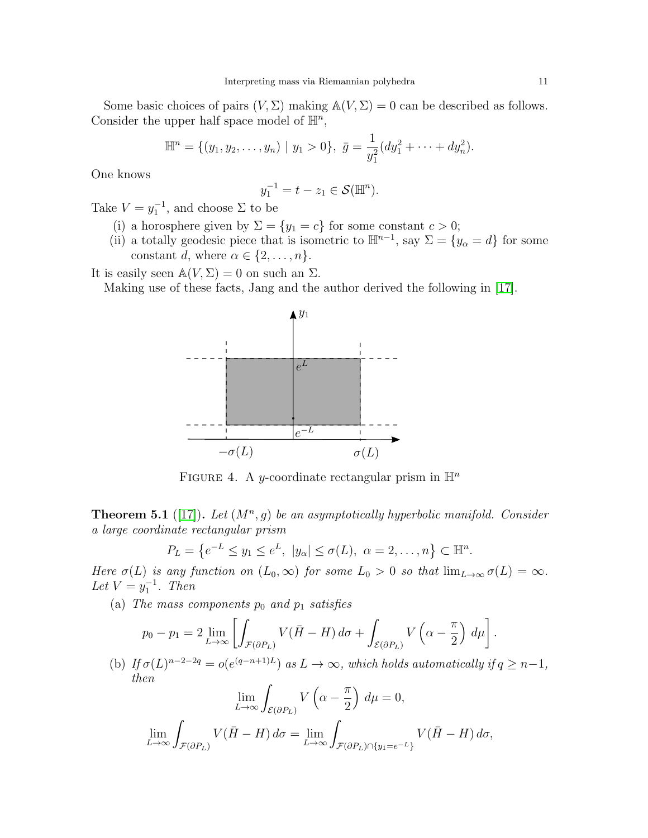Some basic choices of pairs  $(V, \Sigma)$  making  $\mathbb{A}(V, \Sigma) = 0$  can be described as follows. Consider the upper half space model of  $\mathbb{H}^n$ ,

$$
\mathbb{H}^{n} = \{ (y_1, y_2, \dots, y_n) \mid y_1 > 0 \}, \ \bar{g} = \frac{1}{y_1^2} (dy_1^2 + \dots + dy_n^2).
$$

One knows

$$
y_1^{-1} = t - z_1 \in \mathcal{S}(\mathbb{H}^n).
$$

Take  $V = y_1^{-1}$ , and choose  $\Sigma$  to be

- (i) a horosphere given by  $\Sigma = \{y_1 = c\}$  for some constant  $c > 0$ ;
- (ii) a totally geodesic piece that is isometric to  $\mathbb{H}^{n-1}$ , say  $\Sigma = \{y_{\alpha} = d\}$  for some constant d, where  $\alpha \in \{2, \ldots, n\}.$

It is easily seen  $\mathbb{A}(V, \Sigma) = 0$  on such an  $\Sigma$ .

Making use of these facts, Jang and the author derived the following in [\[17\]](#page-13-27).



FIGURE 4. A y-coordinate rectangular prism in  $\mathbb{H}^n$ 

<span id="page-10-0"></span>**Theorem 5.1** ([\[17\]](#page-13-27)). Let  $(M^n, g)$  be an asymptotically hyperbolic manifold. Consider a large coordinate rectangular prism

$$
P_L = \{e^{-L} \le y_1 \le e^L, \ |y_\alpha| \le \sigma(L), \ \alpha = 2, \dots, n\} \subset \mathbb{H}^n.
$$

Here  $\sigma(L)$  is any function on  $(L_0,\infty)$  for some  $L_0 > 0$  so that  $\lim_{L\to\infty} \sigma(L) = \infty$ . Let  $V = y_1^{-1}$ . Then

(a) The mass components  $p_0$  and  $p_1$  satisfies

$$
p_0 - p_1 = 2 \lim_{L \to \infty} \left[ \int_{\mathcal{F}(\partial P_L)} V(\bar{H} - H) d\sigma + \int_{\mathcal{E}(\partial P_L)} V\left(\alpha - \frac{\pi}{2}\right) d\mu \right].
$$

(b) If  $\sigma(L)^{n-2-2q} = o(e^{(q-n+1)L})$  as  $L \to \infty$ , which holds automatically if  $q \geq n-1$ , then

$$
\lim_{L \to \infty} \int_{\mathcal{E}(\partial P_L)} V\left(\alpha - \frac{\pi}{2}\right) d\mu = 0,
$$
  

$$
\lim_{L \to \infty} \int_{\mathcal{F}(\partial P_L)} V(\bar{H} - H) d\sigma = \lim_{L \to \infty} \int_{\mathcal{F}(\partial P_L) \cap \{y_1 = e^{-L}\}} V(\bar{H} - H) d\sigma,
$$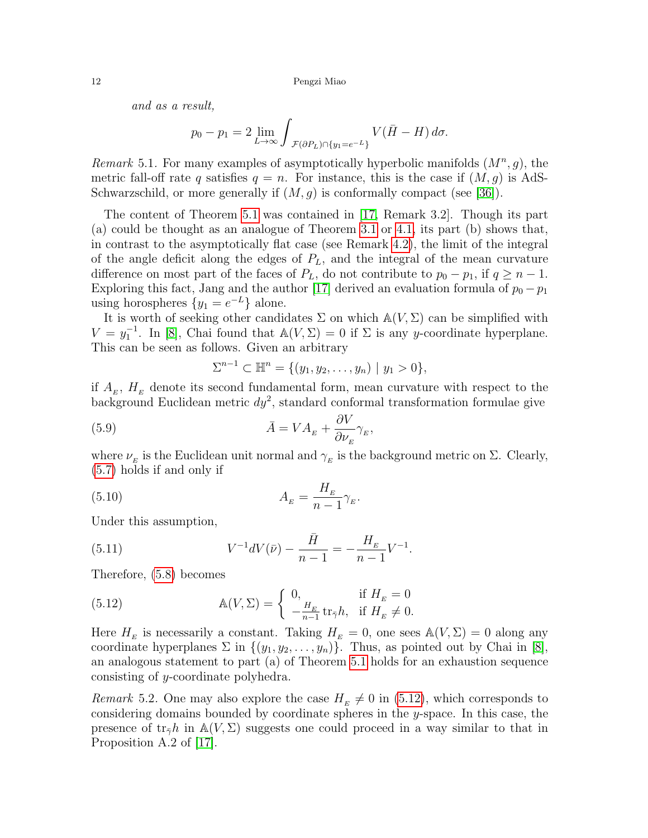and as a result,

$$
p_0 - p_1 = 2 \lim_{L \to \infty} \int_{\mathcal{F}(\partial P_L) \cap \{y_1 = e^{-L}\}} V(\bar{H} - H) d\sigma.
$$

Remark 5.1. For many examples of asymptotically hyperbolic manifolds  $(M^n, g)$ , the metric fall-off rate q satisfies  $q = n$ . For instance, this is the case if  $(M, g)$  is AdS-Schwarzschild, or more generally if  $(M, g)$  is conformally compact (see [\[36\]](#page-13-22)).

The content of Theorem [5.1](#page-10-0) was contained in [\[17,](#page-13-27) Remark 3.2]. Though its part (a) could be thought as an analogue of Theorem [3.1](#page-2-2) or [4.1,](#page-4-1) its part (b) shows that, in contrast to the asymptotically flat case (see Remark [4.2\)](#page-5-1), the limit of the integral of the angle deficit along the edges of  $P<sub>L</sub>$ , and the integral of the mean curvature difference on most part of the faces of  $P_L$ , do not contribute to  $p_0 - p_1$ , if  $q \geq n - 1$ . Exploring this fact, Jang and the author [\[17\]](#page-13-27) derived an evaluation formula of  $p_0 - p_1$ using horospheres  $\{y_1 = e^{-L}\}\$ alone.

It is worth of seeking other candidates  $\Sigma$  on which  $\mathbb{A}(V, \Sigma)$  can be simplified with  $V = y_1^{-1}$ . In [\[8\]](#page-13-28), Chai found that  $\mathbb{A}(V, \Sigma) = 0$  if  $\Sigma$  is any y-coordinate hyperplane. This can be seen as follows. Given an arbitrary

$$
\Sigma^{n-1} \subset \mathbb{H}^n = \{ (y_1, y_2, \dots, y_n) \mid y_1 > 0 \},
$$

if  $A<sub>E</sub>$ ,  $H<sub>E</sub>$  denote its second fundamental form, mean curvature with respect to the background Euclidean metric  $dy^2$ , standard conformal transformation formulae give

(5.9) 
$$
\bar{A} = VA_{E} + \frac{\partial V}{\partial \nu_{E}} \gamma_{E},
$$

where  $\nu_{E}$  is the Euclidean unit normal and  $\gamma_{E}$  is the background metric on  $\Sigma$ . Clearly, [\(5.7\)](#page-9-1) holds if and only if

$$
(5.10)\qquad \qquad A_E = \frac{H_E}{n-1} \gamma_E.
$$

Under this assumption,

(5.11) 
$$
V^{-1}dV(\bar{\nu}) - \frac{\bar{H}}{n-1} = -\frac{H_E}{n-1}V^{-1}.
$$

Therefore, [\(5.8\)](#page-9-2) becomes

<span id="page-11-0"></span>(5.12) 
$$
\mathbb{A}(V, \Sigma) = \begin{cases} 0, & \text{if } H_E = 0 \\ -\frac{H_E}{n-1} \operatorname{tr}_{\bar{\gamma}} h, & \text{if } H_E \neq 0. \end{cases}
$$

Here  $H<sub>E</sub>$  is necessarily a constant. Taking  $H<sub>E</sub> = 0$ , one sees  $\mathbb{A}(V, \Sigma) = 0$  along any coordinate hyperplanes  $\Sigma$  in  $\{(y_1, y_2, \ldots, y_n)\}$ . Thus, as pointed out by Chai in [\[8\]](#page-13-28), an analogous statement to part (a) of Theorem [5.1](#page-10-0) holds for an exhaustion sequence consisting of y-coordinate polyhedra.

Remark 5.2. One may also explore the case  $H<sub>E</sub> \neq 0$  in [\(5.12\)](#page-11-0), which corresponds to considering domains bounded by coordinate spheres in the y-space. In this case, the presence of  $tr_{\bar{\gamma}}h$  in  $\mathbb{A}(V,\Sigma)$  suggests one could proceed in a way similar to that in Proposition A.2 of [\[17\]](#page-13-27).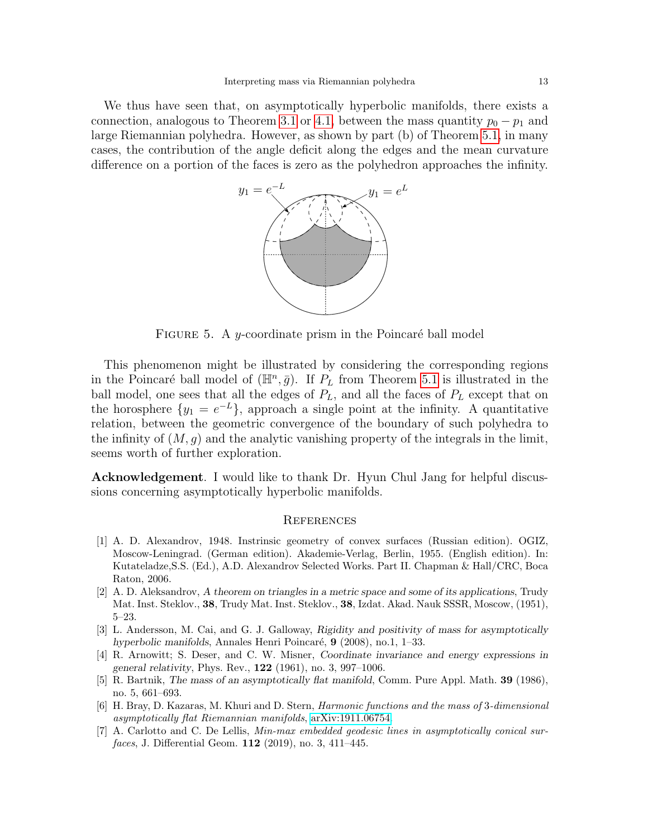We thus have seen that, on asymptotically hyperbolic manifolds, there exists a connection, analogous to Theorem [3.1](#page-2-2) or [4.1,](#page-4-1) between the mass quantity  $p_0 - p_1$  and large Riemannian polyhedra. However, as shown by part (b) of Theorem [5.1,](#page-10-0) in many cases, the contribution of the angle deficit along the edges and the mean curvature difference on a portion of the faces is zero as the polyhedron approaches the infinity.



FIGURE 5. A y-coordinate prism in the Poincaré ball model

This phenomenon might be illustrated by considering the corresponding regions in the Poincaré ball model of  $(\mathbb{H}^n, \bar{g})$ . If  $P_L$  from Theorem [5.1](#page-10-0) is illustrated in the ball model, one sees that all the edges of  $P_L$ , and all the faces of  $P_L$  except that on the horosphere  $\{y_1 = e^{-L}\}\$ , approach a single point at the infinity. A quantitative relation, between the geometric convergence of the boundary of such polyhedra to the infinity of  $(M, g)$  and the analytic vanishing property of the integrals in the limit, seems worth of further exploration.

Acknowledgement. I would like to thank Dr. Hyun Chul Jang for helpful discussions concerning asymptotically hyperbolic manifolds.

### **REFERENCES**

- <span id="page-12-2"></span>[1] A. D. Alexandrov, 1948. Instrinsic geometry of convex surfaces (Russian edition). OGIZ, Moscow-Leningrad. (German edition). Akademie-Verlag, Berlin, 1955. (English edition). In: Kutateladze,S.S. (Ed.), A.D. Alexandrov Selected Works. Part II. Chapman & Hall/CRC, Boca Raton, 2006.
- <span id="page-12-3"></span>[2] A. D. Aleksandrov, A theorem on triangles in a metric space and some of its applications, Trudy Mat. Inst. Steklov., 38, Trudy Mat. Inst. Steklov., 38, Izdat. Akad. Nauk SSSR, Moscow, (1951), 5–23.
- <span id="page-12-6"></span>[3] L. Andersson, M. Cai, and G. J. Galloway, Rigidity and positivity of mass for asymptotically hyperbolic manifolds, Annales Henri Poincaré,  $9$  (2008), no.1, 1–33.
- <span id="page-12-0"></span>[4] R. Arnowitt; S. Deser, and C. W. Misner, Coordinate invariance and energy expressions in general relativity, Phys. Rev., 122 (1961), no. 3, 997–1006.
- <span id="page-12-1"></span>[5] R. Bartnik, The mass of an asymptotically flat manifold, Comm. Pure Appl. Math. **39** (1986), no. 5, 661–693.
- <span id="page-12-5"></span>[6] H. Bray, D. Kazaras, M. Khuri and D. Stern, Harmonic functions and the mass of 3-dimensional asymptotically flat Riemannian manifolds, [arXiv:1911.06754.](http://arxiv.org/abs/1911.06754)
- <span id="page-12-4"></span>[7] A. Carlotto and C. De Lellis, Min-max embedded geodesic lines in asymptotically conical surfaces, J. Differential Geom. 112 (2019), no. 3, 411–445.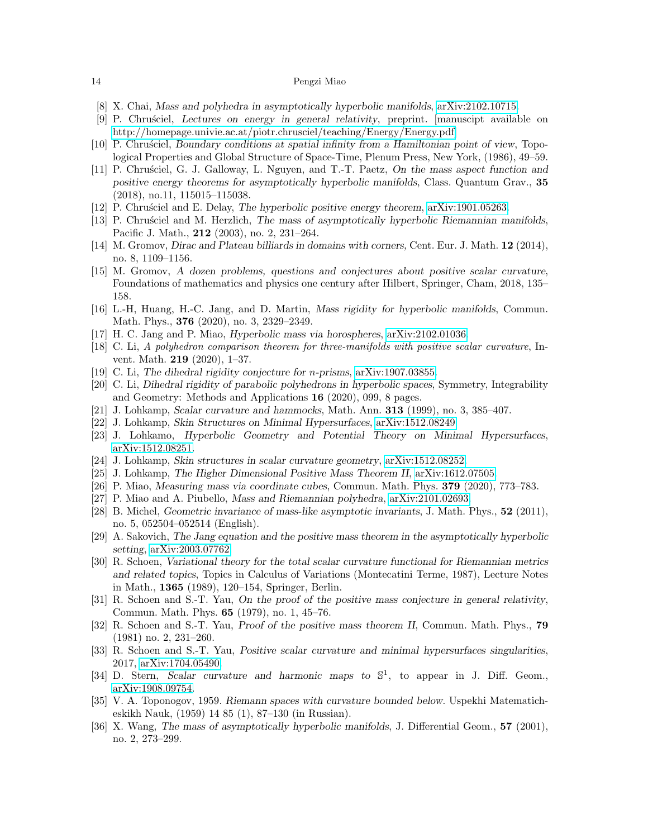- <span id="page-13-28"></span>[8] X. Chai, Mass and polyhedra in asymptotically hyperbolic manifolds, [arXiv:2102.10715.](http://arxiv.org/abs/2102.10715)
- <span id="page-13-17"></span>[9] P. Chru´sciel, Lectures on energy in general relativity, preprint. [manuscipt available on [http://homepage.univie.ac.at/piotr.chrusciel/teaching/Energy/Energy.pdf\]](http://homepage.univie.ac.at/piotr.chrusciel/teaching/Energy/Energy.pdf)
- <span id="page-13-2"></span>[10] P. Chrusciel, Boundary conditions at spatial infinity from a Hamiltonian point of view, Topological Properties and Global Structure of Space-Time, Plenum Press, New York, (1986), 49–59.
- <span id="page-13-23"></span>[11] P. Chrusciel, G. J. Galloway, L. Nguyen, and T.-T. Paetz, On the mass aspect function and positive energy theorems for asymptotically hyperbolic manifolds, Class. Quantum Grav., 35 (2018), no.11, 115015–115038.
- <span id="page-13-24"></span>[12] P. Chrusciel and E. Delay, The hyperbolic positive energy theorem, [arXiv:1901.05263.](http://arxiv.org/abs/1901.05263)
- <span id="page-13-20"></span>[13] P. Chrusciel and M. Herzlich, The mass of asymptotically hyperbolic Riemannian manifolds, Pacific J. Math., 212 (2003), no. 2, 231–264.
- <span id="page-13-10"></span>[14] M. Gromov, Dirac and Plateau billiards in domains with corners, Cent. Eur. J. Math. 12 (2014), no. 8, 1109–1156.
- <span id="page-13-11"></span>[15] M. Gromov, A dozen problems, questions and conjectures about positive scalar curvature, Foundations of mathematics and physics one century after Hilbert, Springer, Cham, 2018, 135– 158.
- <span id="page-13-25"></span>[16] L.-H, Huang, H.-C. Jang, and D. Martin, Mass rigidity for hyperbolic manifolds, Commun. Math. Phys., 376 (2020), no. 3, 2329–2349.
- <span id="page-13-27"></span>[17] H. C. Jang and P. Miao, Hyperbolic mass via horospheres, [arXiv:2102.01036.](http://arxiv.org/abs/2102.01036)
- <span id="page-13-12"></span>[18] C. Li, A polyhedron comparison theorem for three-manifolds with positive scalar curvature, Invent. Math. 219 (2020), 1–37.
- <span id="page-13-13"></span>[19] C. Li, The dihedral rigidity conjecture for *n*-prisms, [arXiv:1907.03855.](http://arxiv.org/abs/1907.03855)
- <span id="page-13-14"></span>[20] C. Li, Dihedral rigidity of parabolic polyhedrons in hyperbolic spaces, Symmetry, Integrability and Geometry: Methods and Applications 16 (2020), 099, 8 pages.
- <span id="page-13-15"></span>[21] J. Lohkamp, Scalar curvature and hammocks, Math. Ann. 313 (1999), no. 3, 385–407.
- <span id="page-13-5"></span>[22] J. Lohkamp, Skin Structures on Minimal Hypersurfaces, [arXiv:1512.08249.](http://arxiv.org/abs/1512.08249)
- <span id="page-13-6"></span>[23] J. Lohkamo, Hyperbolic Geometry and Potential Theory on Minimal Hypersurfaces, [arXiv:1512.08251.](http://arxiv.org/abs/1512.08251)
- <span id="page-13-7"></span>[24] J. Lohkamp, Skin structures in scalar curvature geometry, [arXiv:1512.08252.](http://arxiv.org/abs/1512.08252)
- <span id="page-13-8"></span>[25] J. Lohkamp, The Higher Dimensional Positive Mass Theorem II, [arXiv:1612.07505.](http://arxiv.org/abs/1612.07505)
- <span id="page-13-16"></span>[26] P. Miao, Measuring mass via coordinate cubes, Commun. Math. Phys. 379 (2020), 773–783.
- <span id="page-13-19"></span>[27] P. Miao and A. Piubello, Mass and Riemannian polyhedra, [arXiv:2101.02693.](http://arxiv.org/abs/2101.02693)
- <span id="page-13-21"></span>[28] B. Michel, Geometric invariance of mass-like asymptotic invariants, J. Math. Phys., 52 (2011), no. 5, 052504–052514 (English).
- <span id="page-13-26"></span>[29] A. Sakovich, The Jang equation and the positive mass theorem in the asymptotically hyperbolic setting, [arXiv:2003.07762.](http://arxiv.org/abs/2003.07762)
- <span id="page-13-3"></span>[30] R. Schoen, Variational theory for the total scalar curvature functional for Riemannian metrics and related topics, Topics in Calculus of Variations (Montecatini Terme, 1987), Lecture Notes in Math., 1365 (1989), 120–154, Springer, Berlin.
- <span id="page-13-1"></span>[31] R. Schoen and S.-T. Yau, On the proof of the positive mass conjecture in general relativity, Commun. Math. Phys. 65 (1979), no. 1, 45–76.
- <span id="page-13-0"></span>[32] R. Schoen and S.-T. Yau, *Proof of the positive mass theorem II*, Commun. Math. Phys., **79** (1981) no. 2, 231–260.
- <span id="page-13-4"></span>[33] R. Schoen and S.-T. Yau, Positive scalar curvature and minimal hypersurfaces singularities, 2017, [arXiv:1704.05490.](http://arxiv.org/abs/1704.05490)
- <span id="page-13-18"></span>[34] D. Stern, Scalar curvature and harmonic maps to  $\mathbb{S}^1$ , to appear in J. Diff. Geom., [arXiv:1908.09754.](http://arxiv.org/abs/1908.09754)
- <span id="page-13-9"></span>[35] V. A. Toponogov, 1959. Riemann spaces with curvature bounded below. Uspekhi Matematicheskikh Nauk, (1959) 14 85 (1), 87–130 (in Russian).
- <span id="page-13-22"></span>[36] X. Wang, The mass of asymptotically hyperbolic manifolds, J. Differential Geom., 57 (2001), no. 2, 273–299.